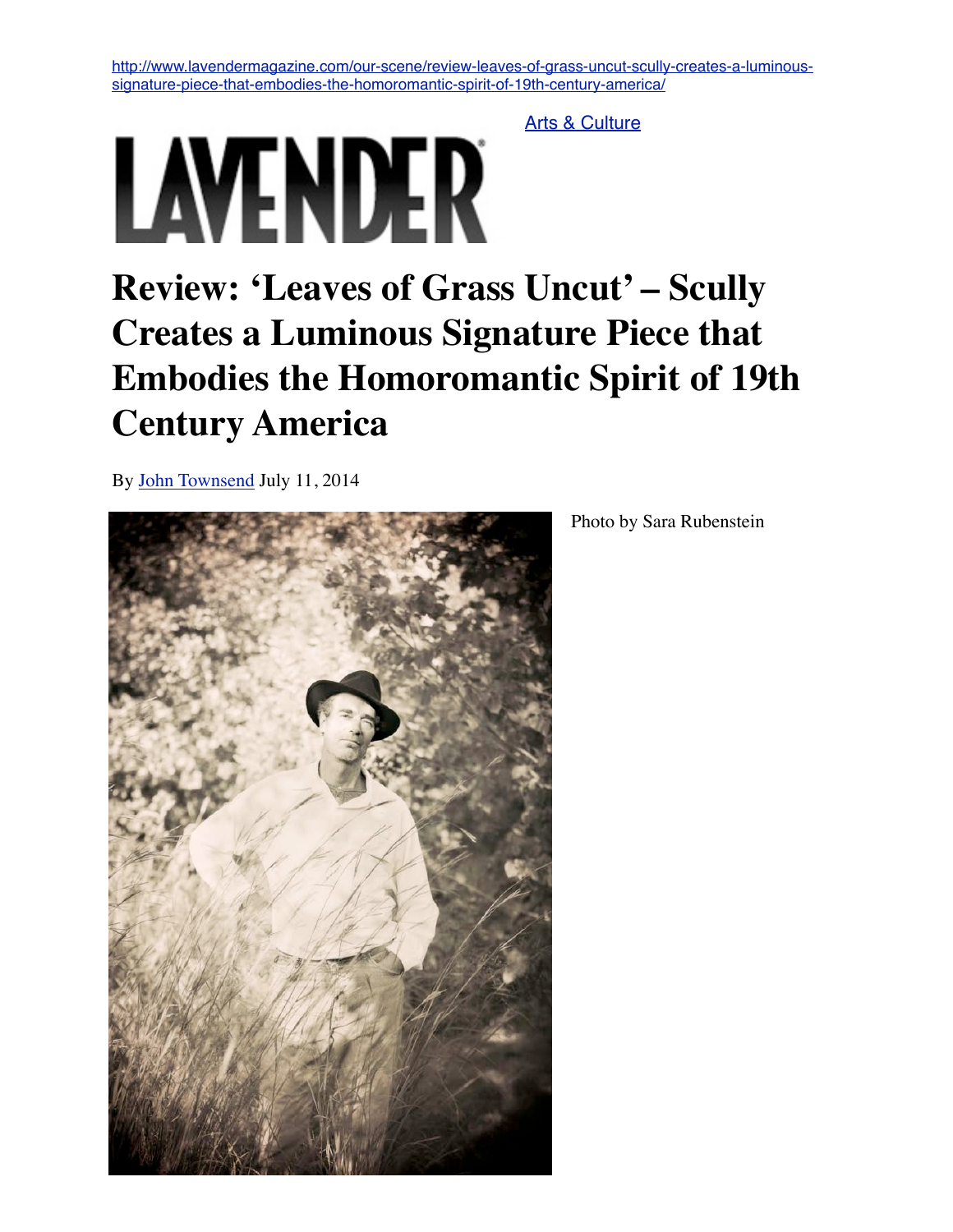[http://www.lavendermagazine.com/our-scene/review-leaves-of-grass-uncut-scully-creates-a-luminous](http://www.lavendermagazine.com/our-scene/review-leaves-of-grass-uncut-scully-creates-a-luminous-signature-piece-that-embodies-the-homoromantic-spirit-of-19th-century-america/)[signature-piece-that-embodies-the-homoromantic-spirit-of-19th-century-america/](http://www.lavendermagazine.com/our-scene/review-leaves-of-grass-uncut-scully-creates-a-luminous-signature-piece-that-embodies-the-homoromantic-spirit-of-19th-century-america/)

[Arts & Culture](http://www.lavendermagazine.com/category/our-scene/arts-culture/)

## LAVENDER

## **Review: 'Leaves of Grass Uncut' – Scully Creates a Luminous Signature Piece that Embodies the Homoromantic Spirit of 19th Century America**

By [John Townsend](http://www.lavendermagazine.com/author/john-townsend/) July 11, 2014



Photo by Sara Rubenstein